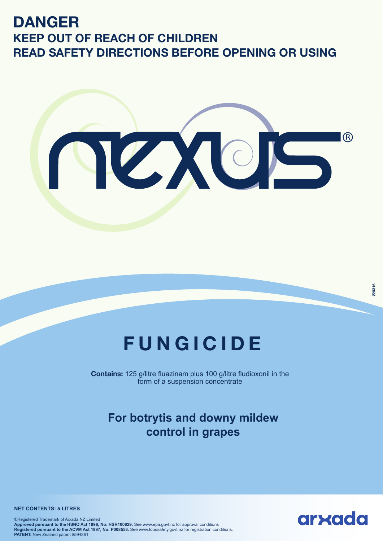### **DANGER KEEP OUT OF REACH OF CHILDREN READ SAFETY DIRECTIONS BEFORE OPENING OR USING**



# **FUNGICIDE**

**Contains:** 125 g/litre fluazinam plus 100 g/litre fludioxonil in the form of a suspension concentrate

### **For botrytis and downy mildew control in grapes**

## arxada

**NET CONTENTS: 5 LITRES** 

®Registered Trademark of Arxada NZ Limited **Approved pursuant to the HSNO Act 1996, No: HSR100629.** See www.epa.govt.nz for approval conditions **Registered pursuant to the ACVM Act 1997, No: P008558.** See www.foodsafety.govt.nz for registration conditions. PATENT: New Zealand patent #594861